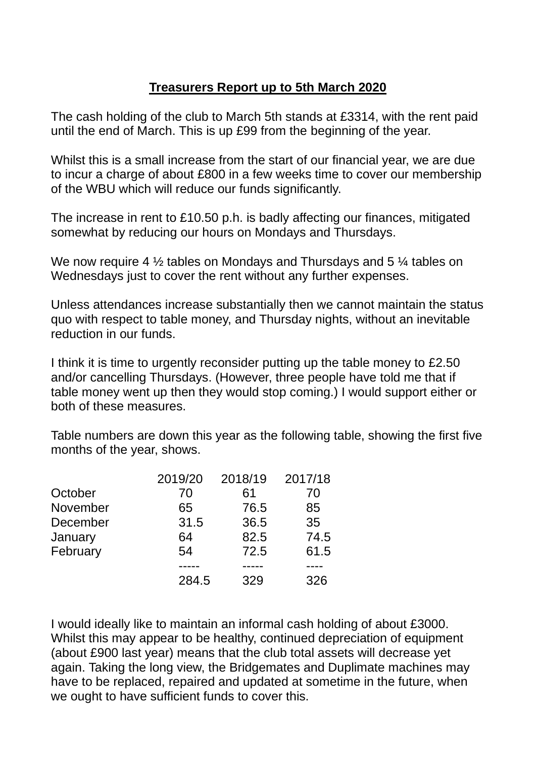## **Treasurers Report up to 5th March 2020**

The cash holding of the club to March 5th stands at £3314, with the rent paid until the end of March. This is up £99 from the beginning of the year.

Whilst this is a small increase from the start of our financial year, we are due to incur a charge of about £800 in a few weeks time to cover our membership of the WBU which will reduce our funds significantly.

The increase in rent to £10.50 p.h. is badly affecting our finances, mitigated somewhat by reducing our hours on Mondays and Thursdays.

We now require 4  $\frac{1}{2}$  tables on Mondays and Thursdays and 5  $\frac{1}{4}$  tables on Wednesdays just to cover the rent without any further expenses.

Unless attendances increase substantially then we cannot maintain the status quo with respect to table money, and Thursday nights, without an inevitable reduction in our funds.

I think it is time to urgently reconsider putting up the table money to £2.50 and/or cancelling Thursdays. (However, three people have told me that if table money went up then they would stop coming.) I would support either or both of these measures.

Table numbers are down this year as the following table, showing the first five months of the year, shows.

|          | 2019/20 | 2018/19 | 2017/18 |
|----------|---------|---------|---------|
| October  | 70      | 61      | 70      |
| November | 65      | 76.5    | 85      |
| December | 31.5    | 36.5    | 35      |
| January  | 64      | 82.5    | 74.5    |
| February | 54      | 72.5    | 61.5    |
|          |         |         |         |
|          | 284.5   | 329     | 326     |

I would ideally like to maintain an informal cash holding of about £3000. Whilst this may appear to be healthy, continued depreciation of equipment (about £900 last year) means that the club total assets will decrease yet again. Taking the long view, the Bridgemates and Duplimate machines may have to be replaced, repaired and updated at sometime in the future, when we ought to have sufficient funds to cover this.